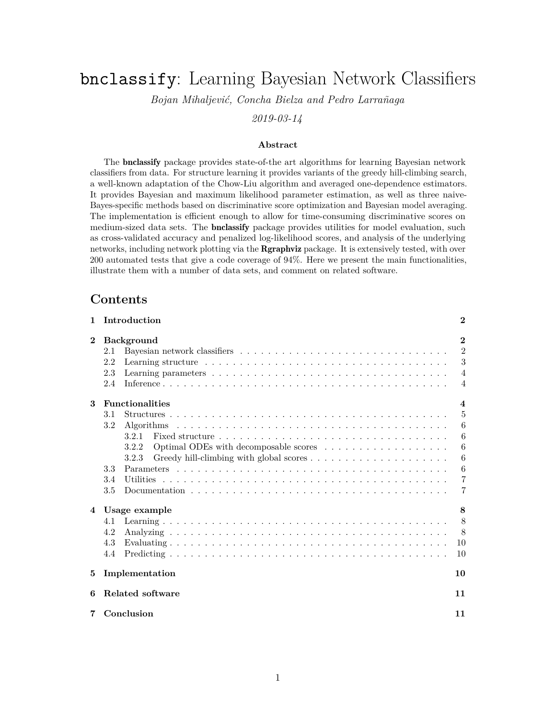# bnclassify: Learning Bayesian Network Classifiers

*Bojan Mihaljević, Concha Bielza and Pedro Larrañaga*

*2019-03-14*

#### **Abstract**

The bnclassify package provides state-of-the art algorithms for learning Bayesian network classifiers from data. For structure learning it provides variants of the greedy hill-climbing search, a well-known adaptation of the Chow-Liu algorithm and averaged one-dependence estimators. It provides Bayesian and maximum likelihood parameter estimation, as well as three naive-Bayes-specific methods based on discriminative score optimization and Bayesian model averaging. The implementation is efficient enough to allow for time-consuming discriminative scores on medium-sized data sets. The **bnclassify** package provides utilities for model evaluation, such as cross-validated accuracy and penalized log-likelihood scores, and analysis of the underlying networks, including network plotting via the Rgraphviz package. It is extensively tested, with over 200 automated tests that give a code coverage of 94%. Here we present the main functionalities, illustrate them with a number of data sets, and comment on related software.

# **Contents**

| $\mathbf{1}$ | Introduction                                                                                                      | $\bf{2}$         |  |  |
|--------------|-------------------------------------------------------------------------------------------------------------------|------------------|--|--|
| $\bf{2}$     | <b>Background</b>                                                                                                 | $\mathbf{2}$     |  |  |
|              | 2.1                                                                                                               | $\overline{2}$   |  |  |
|              | 2.2                                                                                                               | 3                |  |  |
|              | 2.3                                                                                                               | $\overline{4}$   |  |  |
|              | 2.4                                                                                                               | $\overline{4}$   |  |  |
| 3            | <b>Functionalities</b>                                                                                            | $\boldsymbol{4}$ |  |  |
|              | 3.1                                                                                                               | 5                |  |  |
|              | 3.2                                                                                                               | 6                |  |  |
|              | 3.2.1                                                                                                             | 6                |  |  |
|              | 3.2.2                                                                                                             | 6                |  |  |
|              | 3.2.3                                                                                                             | 6                |  |  |
|              | 3.3                                                                                                               | $6\phantom{.}6$  |  |  |
|              | 3.4<br><b>Utilities</b>                                                                                           | $\overline{7}$   |  |  |
|              | 3.5<br>Documentation $\ldots \ldots \ldots \ldots \ldots \ldots \ldots \ldots \ldots \ldots \ldots \ldots \ldots$ | 7                |  |  |
| 4            | Usage example                                                                                                     | 8                |  |  |
|              | 4.1                                                                                                               | 8                |  |  |
|              | 4.2                                                                                                               | 8                |  |  |
|              | 4.3                                                                                                               | 10               |  |  |
|              | 4.4                                                                                                               | 10               |  |  |
| 5            | Implementation                                                                                                    | 10               |  |  |
| 6            | Related software                                                                                                  |                  |  |  |
| 7            | Conclusion                                                                                                        | 11               |  |  |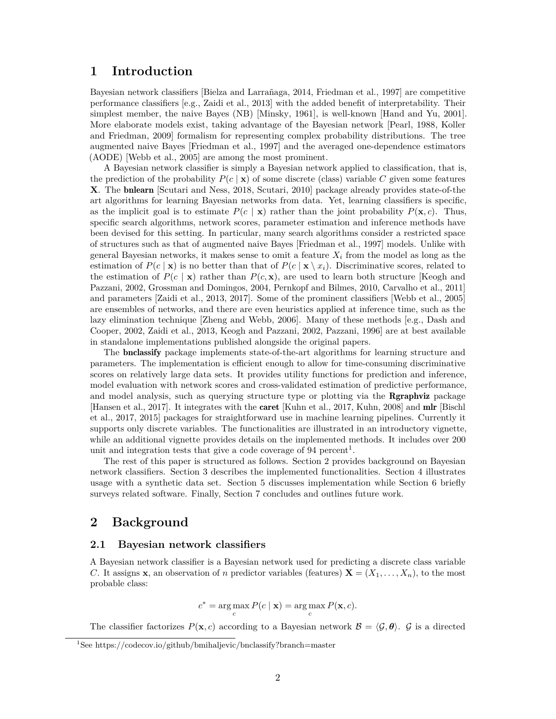# **1 Introduction**

Bayesian network classifiers [Bielza and Larrañaga, 2014, Friedman et al., 1997] are competitive performance classifiers [e.g., Zaidi et al., 2013] with the added benefit of interpretability. Their simplest member, the naive Bayes (NB) [Minsky, 1961], is well-known [Hand and Yu, 2001]. More elaborate models exist, taking advantage of the Bayesian network [Pearl, 1988, Koller and Friedman, 2009] formalism for representing complex probability distributions. The tree augmented naive Bayes [Friedman et al., 1997] and the averaged one-dependence estimators (AODE) [Webb et al., 2005] are among the most prominent.

A Bayesian network classifier is simply a Bayesian network applied to classification, that is, the prediction of the probability  $P(c | \mathbf{x})$  of some discrete (class) variable C given some features **X**. The bnlearn [Scutari and Ness, 2018, Scutari, 2010] package already provides state-of-the art algorithms for learning Bayesian networks from data. Yet, learning classifiers is specific, as the implicit goal is to estimate  $P(c | \mathbf{x})$  rather than the joint probability  $P(\mathbf{x}, c)$ . Thus, specific search algorithms, network scores, parameter estimation and inference methods have been devised for this setting. In particular, many search algorithms consider a restricted space of structures such as that of augmented naive Bayes [Friedman et al., 1997] models. Unlike with general Bayesian networks, it makes sense to omit a feature  $X_i$  from the model as long as the estimation of  $P(c | \mathbf{x})$  is no better than that of  $P(c | \mathbf{x} \setminus x_i)$ . Discriminative scores, related to the estimation of  $P(c \mid \mathbf{x})$  rather than  $P(c, \mathbf{x})$ , are used to learn both structure [Keogh and Pazzani, 2002, Grossman and Domingos, 2004, Pernkopf and Bilmes, 2010, Carvalho et al., 2011] and parameters [Zaidi et al., 2013, 2017]. Some of the prominent classifiers [Webb et al., 2005] are ensembles of networks, and there are even heuristics applied at inference time, such as the lazy elimination technique [Zheng and Webb, 2006]. Many of these methods [e.g., Dash and Cooper, 2002, Zaidi et al., 2013, Keogh and Pazzani, 2002, Pazzani, 1996] are at best available in standalone implementations published alongside the original papers.

The bnclassify package implements state-of-the-art algorithms for learning structure and parameters. The implementation is efficient enough to allow for time-consuming discriminative scores on relatively large data sets. It provides utility functions for prediction and inference, model evaluation with network scores and cross-validated estimation of predictive performance, and model analysis, such as querying structure type or plotting via the **Rgraphviz** package [Hansen et al., 2017]. It integrates with the caret [Kuhn et al., 2017, Kuhn, 2008] and mlr [Bischl et al., 2017, 2015] packages for straightforward use in machine learning pipelines. Currently it supports only discrete variables. The functionalities are illustrated in an introductory vignette, while an additional vignette provides details on the implemented methods. It includes over 200 unit and integration tests that give a code coverage of  $94$  percent<sup>1</sup>.

The rest of this paper is structured as follows. Section 2 provides background on Bayesian network classifiers. Section 3 describes the implemented functionalities. Section 4 illustrates usage with a synthetic data set. Section 5 discusses implementation while Section 6 briefly surveys related software. Finally, Section 7 concludes and outlines future work.

# **2 Background**

#### **2.1 Bayesian network classifiers**

A Bayesian network classifier is a Bayesian network used for predicting a discrete class variable *C*. It assigns **x**, an observation of *n* predictor variables (features)  $\mathbf{X} = (X_1, \ldots, X_n)$ , to the most probable class:

$$
c^* = \arg\max_c P(c \mid \mathbf{x}) = \arg\max_c P(\mathbf{x}, c).
$$

The classifier factorizes  $P(\mathbf{x}, c)$  according to a Bayesian network  $\mathcal{B} = \langle \mathcal{G}, \theta \rangle$ .  $\mathcal{G}$  is a directed

<sup>1</sup>See https://codecov.io/github/bmihaljevic/bnclassify?branch=master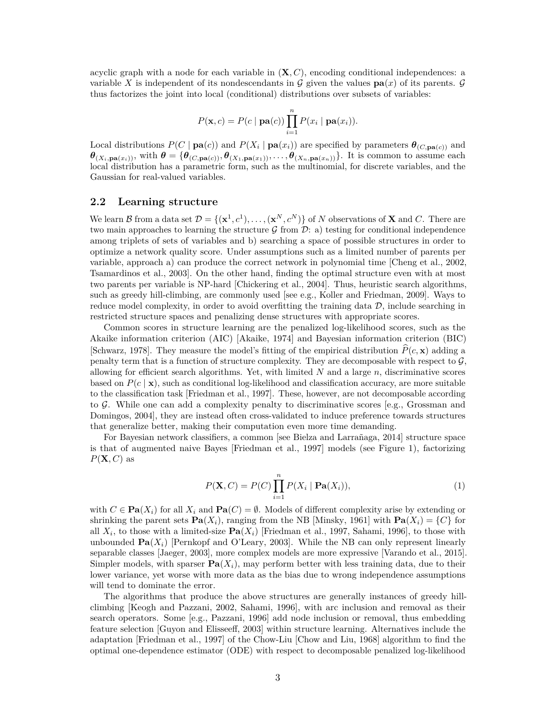acyclic graph with a node for each variable in (**X***, C*), encoding conditional independences: a variable X is independent of its nondescendants in  $\mathcal G$  given the values  $\mathbf{pa}(x)$  of its parents.  $\mathcal G$ thus factorizes the joint into local (conditional) distributions over subsets of variables:

$$
P(\mathbf{x},c) = P(c \mid \mathbf{pa}(c)) \prod_{i=1}^{n} P(x_i \mid \mathbf{pa}(x_i)).
$$

Local distributions  $P(C | \mathbf{pa}(c))$  and  $P(X_i | \mathbf{pa}(x_i))$  are specified by parameters  $\boldsymbol{\theta}_{(C, \mathbf{pa}(c))}$  and  $\boldsymbol{\theta}_{(X_i,\textbf{pa}(x_i))}$ , with  $\boldsymbol{\theta} = {\theta_{(C,\textbf{pa}(c))}, \theta_{(X_1,\textbf{pa}(x_1))}, \dots, \theta_{(X_n,\textbf{pa}(x_n))}}$ . It is common to assume each local distribution has a parametric form, such as the multinomial, for discrete variables, and the Gaussian for real-valued variables.

#### **2.2 Learning structure**

We learn B from a data set  $\mathcal{D} = \{(\mathbf{x}^1, c^1), \ldots, (\mathbf{x}^N, c^N)\}\$  of N observations of **X** and C. There are two main approaches to learning the structure  $\mathcal G$  from  $\mathcal D:$  a) testing for conditional independence among triplets of sets of variables and b) searching a space of possible structures in order to optimize a network quality score. Under assumptions such as a limited number of parents per variable, approach a) can produce the correct network in polynomial time [Cheng et al., 2002, Tsamardinos et al., 2003]. On the other hand, finding the optimal structure even with at most two parents per variable is NP-hard [Chickering et al., 2004]. Thus, heuristic search algorithms, such as greedy hill-climbing, are commonly used [see e.g., Koller and Friedman, 2009]. Ways to reduce model complexity, in order to avoid overfitting the training data  $D$ , include searching in restricted structure spaces and penalizing dense structures with appropriate scores.

Common scores in structure learning are the penalized log-likelihood scores, such as the Akaike information criterion (AIC) [Akaike, 1974] and Bayesian information criterion (BIC) [Schwarz, 1978]. They measure the model's fitting of the empirical distribution  $\hat{P}(c, \mathbf{x})$  adding a penalty term that is a function of structure complexity. They are decomposable with respect to  $\mathcal{G}$ , allowing for efficient search algorithms. Yet, with limited *N* and a large *n*, discriminative scores based on  $P(c | \mathbf{x})$ , such as conditional log-likelihood and classification accuracy, are more suitable to the classification task [Friedman et al., 1997]. These, however, are not decomposable according to  $\mathcal{G}$ . While one can add a complexity penalty to discriminative scores [e.g., Grossman and Domingos, 2004], they are instead often cross-validated to induce preference towards structures that generalize better, making their computation even more time demanding.

For Bayesian network classifiers, a common [see Bielza and Larrañaga, 2014] structure space is that of augmented naive Bayes [Friedman et al., 1997] models (see Figure 1), factorizing  $P(X, C)$  as

$$
P(\mathbf{X}, C) = P(C) \prod_{i=1}^{n} P(X_i \mid \mathbf{Pa}(X_i)),
$$
\n(1)

with  $C \in \textbf{Pa}(X_i)$  for all  $X_i$  and  $\textbf{Pa}(C) = \emptyset$ . Models of different complexity arise by extending or shrinking the parent sets  $\mathbf{Pa}(X_i)$ , ranging from the NB [Minsky, 1961] with  $\mathbf{Pa}(X_i) = \{C\}$  for all  $X_i$ , to those with a limited-size  $\text{Pa}(X_i)$  [Friedman et al., 1997, Sahami, 1996], to those with unbounded  $\textbf{Pa}(X_i)$  [Pernkopf and O'Leary, 2003]. While the NB can only represent linearly separable classes [Jaeger, 2003], more complex models are more expressive [Varando et al., 2015]. Simpler models, with sparser  $\mathbf{Pa}(X_i)$ , may perform better with less training data, due to their lower variance, yet worse with more data as the bias due to wrong independence assumptions will tend to dominate the error.

The algorithms that produce the above structures are generally instances of greedy hillclimbing [Keogh and Pazzani, 2002, Sahami, 1996], with arc inclusion and removal as their search operators. Some [e.g., Pazzani, 1996] add node inclusion or removal, thus embedding feature selection [Guyon and Elisseeff, 2003] within structure learning. Alternatives include the adaptation [Friedman et al., 1997] of the Chow-Liu [Chow and Liu, 1968] algorithm to find the optimal one-dependence estimator (ODE) with respect to decomposable penalized log-likelihood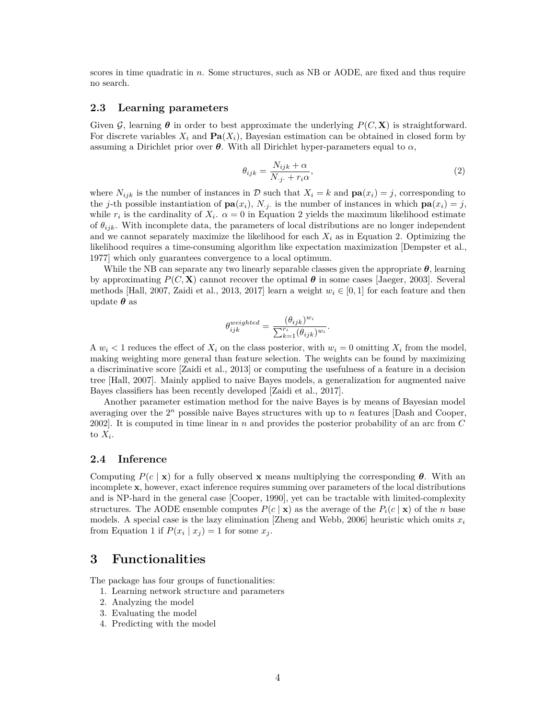scores in time quadratic in *n*. Some structures, such as NB or AODE, are fixed and thus require no search.

#### **2.3 Learning parameters**

Given  $\mathcal{G}$ , learning  $\theta$  in order to best approximate the underlying  $P(C, \mathbf{X})$  is straightforward. For discrete variables  $X_i$  and  $\textbf{Pa}(X_i)$ , Bayesian estimation can be obtained in closed form by assuming a Dirichlet prior over  $\theta$ . With all Dirichlet hyper-parameters equal to  $\alpha$ ,

$$
\theta_{ijk} = \frac{N_{ijk} + \alpha}{N_{\cdot j \cdot} + r_i \alpha},\tag{2}
$$

where  $N_{ijk}$  is the number of instances in D such that  $X_i = k$  and  $\mathbf{pa}(x_i) = j$ , corresponding to the *j*-th possible instantiation of  $\mathbf{pa}(x_i)$ , *N*<sub>*j*</sub>· is the number of instances in which  $\mathbf{pa}(x_i) = j$ , while  $r_i$  is the cardinality of  $X_i$ .  $\alpha = 0$  in Equation 2 yields the maximum likelihood estimate of *θijk*. With incomplete data, the parameters of local distributions are no longer independent and we cannot separately maximize the likelihood for each  $X_i$  as in Equation 2. Optimizing the likelihood requires a time-consuming algorithm like expectation maximization [Dempster et al., 1977] which only guarantees convergence to a local optimum.

While the NB can separate any two linearly separable classes given the appropriate  $\theta$ , learning by approximating  $P(C, \mathbf{X})$  cannot recover the optimal  $\boldsymbol{\theta}$  in some cases [Jaeger, 2003]. Several methods [Hall, 2007, Zaidi et al., 2013, 2017] learn a weight  $w_i \in [0, 1]$  for each feature and then update *θ* as

$$
\theta_{ijk}^{weighted} = \frac{(\theta_{ijk})^{w_i}}{\sum_{k=1}^{r_i} (\theta_{ijk})^{w_i}}.
$$

A  $w_i$   $\leq$  1 reduces the effect of  $X_i$  on the class posterior, with  $w_i$  = 0 omitting  $X_i$  from the model, making weighting more general than feature selection. The weights can be found by maximizing a discriminative score [Zaidi et al., 2013] or computing the usefulness of a feature in a decision tree [Hall, 2007]. Mainly applied to naive Bayes models, a generalization for augmented naive Bayes classifiers has been recently developed [Zaidi et al., 2017].

Another parameter estimation method for the naive Bayes is by means of Bayesian model averaging over the 2*<sup>n</sup>* possible naive Bayes structures with up to *n* features [Dash and Cooper, 2002]. It is computed in time linear in *n* and provides the posterior probability of an arc from *C* to  $X_i$ .

#### **2.4 Inference**

Computing  $P(c \mid \mathbf{x})$  for a fully observed **x** means multiplying the corresponding  $\theta$ . With an incomplete **x**, however, exact inference requires summing over parameters of the local distributions and is NP-hard in the general case [Cooper, 1990], yet can be tractable with limited-complexity structures. The AODE ensemble computes  $P(c | \mathbf{x})$  as the average of the  $P_i(c | \mathbf{x})$  of the *n* base models. A special case is the lazy elimination [Zheng and Webb, 2006] heuristic which omits  $x_i$ from Equation 1 if  $P(x_i | x_j) = 1$  for some  $x_j$ .

### **3 Functionalities**

The package has four groups of functionalities:

- 1. Learning network structure and parameters
- 2. Analyzing the model
- 3. Evaluating the model
- 4. Predicting with the model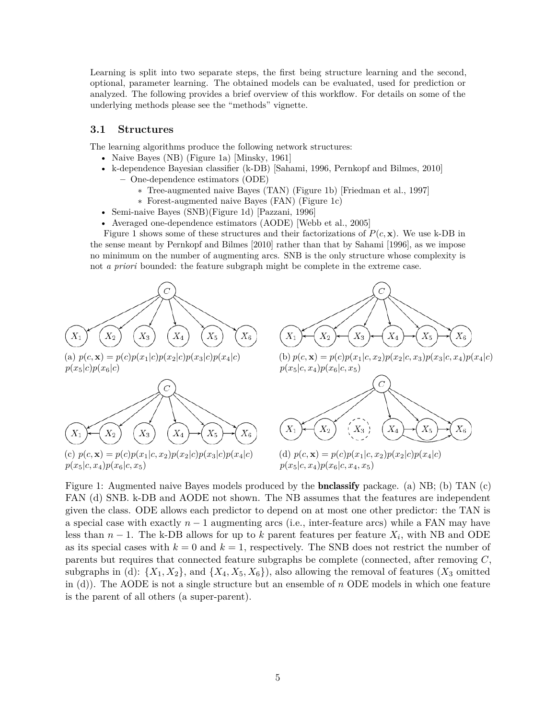Learning is split into two separate steps, the first being structure learning and the second, optional, parameter learning. The obtained models can be evaluated, used for prediction or analyzed. The following provides a brief overview of this workflow. For details on some of the underlying methods please see the "methods" vignette.

#### **3.1 Structures**

The learning algorithms produce the following network structures:

- Naive Bayes (NB) (Figure 1a) [Minsky, 1961]
- k-dependence Bayesian classifier (k-DB) [Sahami, 1996, Pernkopf and Bilmes, 2010] **–** One-dependence estimators (ODE)
	- ∗ Tree-augmented naive Bayes (TAN) (Figure 1b) [Friedman et al., 1997]
	- ∗ Forest-augmented naive Bayes (FAN) (Figure 1c)
- Semi-naive Bayes (SNB)(Figure 1d) [Pazzani, 1996]
- Averaged one-dependence estimators (AODE) [Webb et al., 2005]

Figure 1 shows some of these structures and their factorizations of  $P(c, \mathbf{x})$ . We use k-DB in the sense meant by Pernkopf and Bilmes [2010] rather than that by Sahami [1996], as we impose no minimum on the number of augmenting arcs. SNB is the only structure whose complexity is not *a priori* bounded: the feature subgraph might be complete in the extreme case.





(a)  $p(c, \mathbf{x}) = p(c)p(x_1|c)p(x_2|c)p(x_3|c)p(x_4|c)$  $p(x_5|c)p(x_6|c)$ 



(c)  $p(c, \mathbf{x}) = p(c)p(x_1|c, x_2)p(x_2|c)p(x_3|c)p(x_4|c)$  $p(x_5|c, x_4)p(x_6|c, x_5)$ 

(b)  $p(c, \mathbf{x}) = p(c)p(x_1|c, x_2)p(x_2|c, x_3)p(x_3|c, x_4)p(x_4|c)$  $p(x_5|c, x_4)p(x_6|c, x_5)$ 



(d)  $p(c, \mathbf{x}) = p(c)p(x_1|c, x_2)p(x_2|c)p(x_4|c)$  $p(x_5|c, x_4)p(x_6|c, x_4, x_5)$ 

Figure 1: Augmented naive Bayes models produced by the bnclassify package. (a) NB; (b) TAN (c) FAN (d) SNB. k-DB and AODE not shown. The NB assumes that the features are independent given the class. ODE allows each predictor to depend on at most one other predictor: the TAN is a special case with exactly  $n-1$  augmenting arcs (i.e., inter-feature arcs) while a FAN may have less than *n* − 1. The k-DB allows for up to *k* parent features per feature *Xi* , with NB and ODE as its special cases with  $k = 0$  and  $k = 1$ , respectively. The SNB does not restrict the number of parents but requires that connected feature subgraphs be complete (connected, after removing *C*, subgraphs in (d):  $\{X_1, X_2\}$ , and  $\{X_4, X_5, X_6\}$ , also allowing the removal of features  $(X_3$  omitted in (d)). The AODE is not a single structure but an ensemble of *n* ODE models in which one feature is the parent of all others (a super-parent).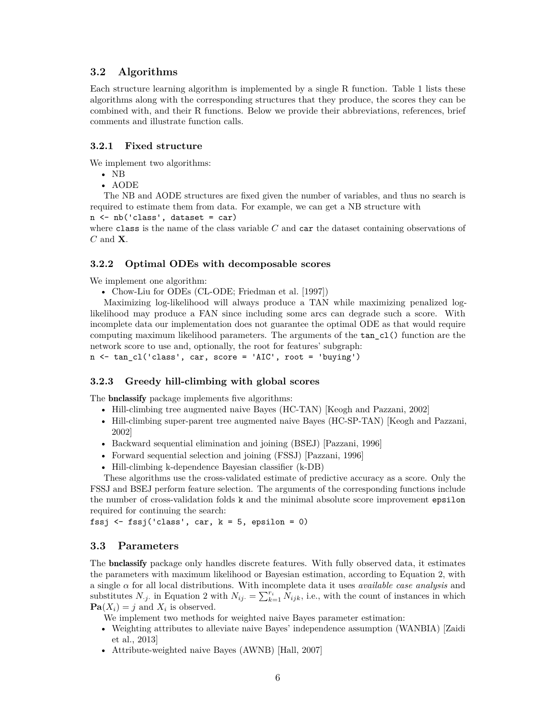### **3.2 Algorithms**

Each structure learning algorithm is implemented by a single R function. Table 1 lists these algorithms along with the corresponding structures that they produce, the scores they can be combined with, and their R functions. Below we provide their abbreviations, references, brief comments and illustrate function calls.

#### **3.2.1 Fixed structure**

We implement two algorithms:

- NB
- AODE

The NB and AODE structures are fixed given the number of variables, and thus no search is required to estimate them from data. For example, we can get a NB structure with

 $n \leftarrow nb('class', dataset = car)$ 

where class is the name of the class variable *C* and car the dataset containing observations of *C* and **X**.

#### **3.2.2 Optimal ODEs with decomposable scores**

We implement one algorithm:

• Chow-Liu for ODEs (CL-ODE; Friedman et al. [1997])

Maximizing log-likelihood will always produce a TAN while maximizing penalized loglikelihood may produce a FAN since including some arcs can degrade such a score. With incomplete data our implementation does not guarantee the optimal ODE as that would require computing maximum likelihood parameters. The arguments of the tan\_cl() function are the network score to use and, optionally, the root for features' subgraph: n <- tan\_cl('class', car, score = 'AIC', root = 'buying')

#### **3.2.3 Greedy hill-climbing with global scores**

The bnclassify package implements five algorithms:

- Hill-climbing tree augmented naive Bayes (HC-TAN) [Keogh and Pazzani, 2002]
- Hill-climbing super-parent tree augmented naive Bayes (HC-SP-TAN) [Keogh and Pazzani, 2002]
- Backward sequential elimination and joining (BSEJ) [Pazzani, 1996]
- Forward sequential selection and joining (FSSJ) [Pazzani, 1996]
- Hill-climbing k-dependence Bayesian classifier (k-DB)

These algorithms use the cross-validated estimate of predictive accuracy as a score. Only the FSSJ and BSEJ perform feature selection. The arguments of the corresponding functions include the number of cross-validation folds k and the minimal absolute score improvement epsilon required for continuing the search:

fssj  $\leftarrow$  fssj $('class', car, k = 5, epsilon = 0)$ 

#### **3.3 Parameters**

The bnclassify package only handles discrete features. With fully observed data, it estimates the parameters with maximum likelihood or Bayesian estimation, according to Equation 2, with a single *α* for all local distributions. With incomplete data it uses *available case analysis* and substitutes *N*<sub>*ij*</sub>. in Equation 2 with  $N_{ij} = \sum_{k=1}^{r_i} N_{ijk}$ , i.e., with the count of instances in which  $\textbf{Pa}(X_i) = j$  and  $X_i$  is observed.

We implement two methods for weighted naive Bayes parameter estimation:

- Weighting attributes to alleviate naive Bayes' independence assumption (WANBIA) [Zaidi et al., 2013]
- Attribute-weighted naive Bayes (AWNB) [Hall, 2007]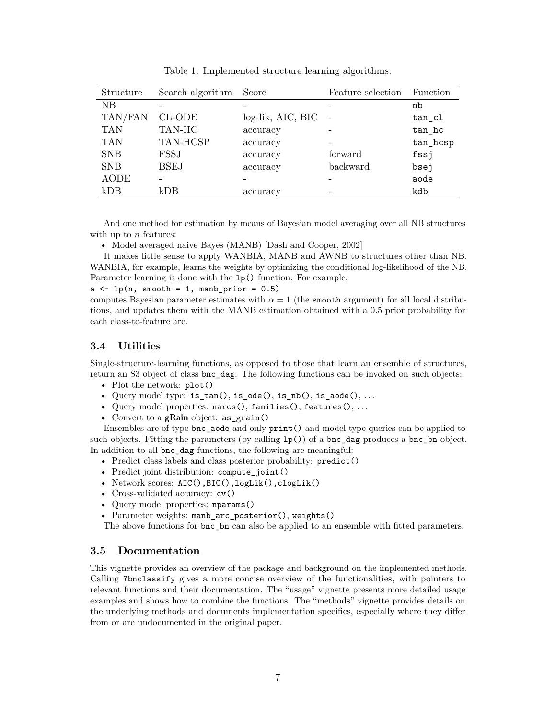| Structure   | Search algorithm | Score             | Feature selection | Function |
|-------------|------------------|-------------------|-------------------|----------|
| NB          |                  |                   |                   | nb       |
| TAN/FAN     | CL-ODE           | log-lik, AIC, BIC |                   | tan cl   |
| <b>TAN</b>  | TAN-HC           | accuracy          |                   | $tan_hc$ |
| <b>TAN</b>  | TAN-HCSP         | accuracy          |                   | tan_hcsp |
| <b>SNB</b>  | FSSJ             | accuracy          | forward           | fssj     |
| <b>SNB</b>  | <b>BSEJ</b>      | accuracy          | backward          | bsej     |
| <b>AODE</b> |                  |                   |                   | aode     |
| kDB         | kDB              | accuracy          |                   | kdb      |

Table 1: Implemented structure learning algorithms.

And one method for estimation by means of Bayesian model averaging over all NB structures with up to *n* features:

• Model averaged naive Bayes (MANB) [Dash and Cooper, 2002]

It makes little sense to apply WANBIA, MANB and AWNB to structures other than NB. WANBIA, for example, learns the weights by optimizing the conditional log-likelihood of the NB. Parameter learning is done with the lp() function. For example,

 $a \leftarrow lp(n, smooth = 1, manb\_prior = 0.5)$ 

computes Bayesian parameter estimates with  $\alpha = 1$  (the smooth argument) for all local distributions, and updates them with the MANB estimation obtained with a 0.5 prior probability for each class-to-feature arc.

### **3.4 Utilities**

Single-structure-learning functions, as opposed to those that learn an ensemble of structures, return an S3 object of class bnc\_dag. The following functions can be invoked on such objects:

- Plot the network: plot()
- Query model type:  $is\_tan()$ ,  $is\_ode()$ ,  $is\_nb()$ ,  $is\_aode()$ , ...
- Query model properties: narcs(), families(), features(), . . .
- Convert to a gRain object: as\_grain()

Ensembles are of type bnc\_aode and only print() and model type queries can be applied to such objects. Fitting the parameters (by calling lp()) of a bnc\_dag produces a bnc\_bn object. In addition to all bnc\_dag functions, the following are meaningful:

- Predict class labels and class posterior probability: predict()
- Predict joint distribution: compute joint()
- Network scores: AIC(),BIC(),logLik(),clogLik()
- Cross-validated accuracy:  $cv()$
- Query model properties: nparams()
- Parameter weights: manb arc posterior(), weights()

The above functions for bnc bn can also be applied to an ensemble with fitted parameters.

#### **3.5 Documentation**

This vignette provides an overview of the package and background on the implemented methods. Calling ?bnclassify gives a more concise overview of the functionalities, with pointers to relevant functions and their documentation. The "usage" vignette presents more detailed usage examples and shows how to combine the functions. The "methods" vignette provides details on the underlying methods and documents implementation specifics, especially where they differ from or are undocumented in the original paper.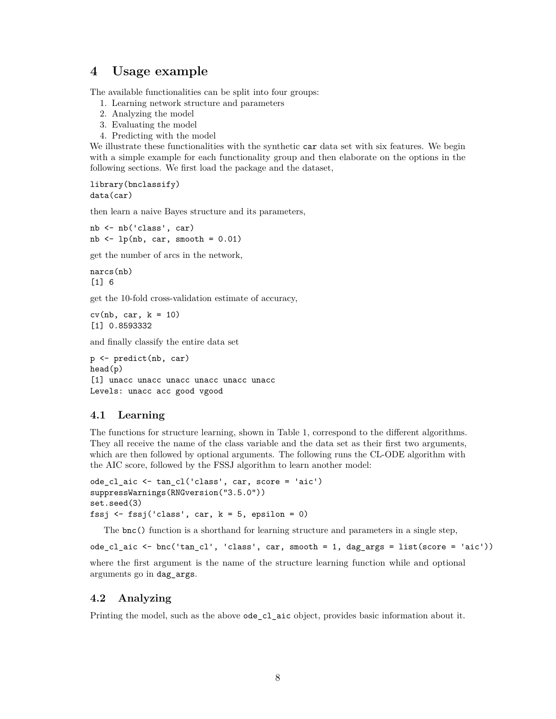# **4 Usage example**

The available functionalities can be split into four groups:

- 1. Learning network structure and parameters
- 2. Analyzing the model
- 3. Evaluating the model
- 4. Predicting with the model

We illustrate these functionalities with the synthetic car data set with six features. We begin with a simple example for each functionality group and then elaborate on the options in the following sections. We first load the package and the dataset,

library(bnclassify) data(car)

then learn a naive Bayes structure and its parameters,

nb <- nb('class', car) nb  $\leftarrow$  lp(nb, car, smooth = 0.01)

get the number of arcs in the network,

narcs(nb) [1] 6

get the 10-fold cross-validation estimate of accuracy,

```
cv(nb, car, k = 10)[1] 0.8593332
```
and finally classify the entire data set

p <- predict(nb, car) head(p) [1] unacc unacc unacc unacc unacc unacc Levels: unacc acc good vgood

### **4.1 Learning**

The functions for structure learning, shown in Table 1, correspond to the different algorithms. They all receive the name of the class variable and the data set as their first two arguments, which are then followed by optional arguments. The following runs the CL-ODE algorithm with the AIC score, followed by the FSSJ algorithm to learn another model:

```
ode cl aic <- tan cl('class', car, score = 'aic')
suppressWarnings(RNGversion("3.5.0"))
set.seed(3)
fssj \leftarrow fssj('class', car, k = 5, epsilon = 0)
```
The bnc() function is a shorthand for learning structure and parameters in a single step,

ode\_cl\_aic <- bnc('tan\_cl', 'class', car, smooth = 1, dag\_args = list(score = 'aic'))

where the first argument is the name of the structure learning function while and optional arguments go in dag\_args.

### **4.2 Analyzing**

Printing the model, such as the above ode\_cl\_aic object, provides basic information about it.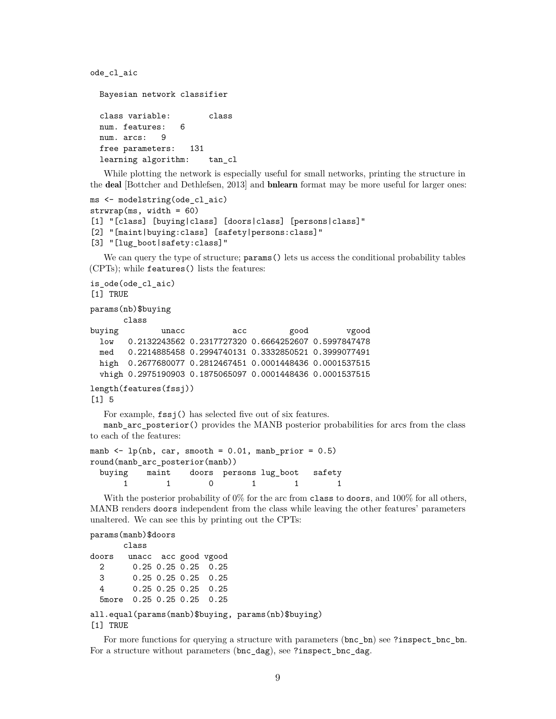ode\_cl\_aic

```
Bayesian network classifier
class variable: class
num. features: 6
num. arcs: 9
free parameters: 131
learning algorithm: tan_cl
```
While plotting the network is especially useful for small networks, printing the structure in the deal [Bottcher and Dethlefsen, 2013] and bnlearn format may be more useful for larger ones:

```
ms <- modelstring(ode_cl_aic)
strwrap(ms, width = 60)[1] "[class] [buying|class] [doors|class] [persons|class]"
[2] "[maint|buying:class] [safety|persons:class]"
[3] "[lug_boot|safety:class]"
```
We can query the type of structure;  $\gamma$  params() lets us access the conditional probability tables (CPTs); while features() lists the features:

```
is_ode(ode_cl_aic)
[1] TRUE
params(nb)$buying
      class
buying unacc acc good vgood
 low 0.2132243562 0.2317727320 0.6664252607 0.5997847478
 med 0.2214885458 0.2994740131 0.3332850521 0.3999077491
 high 0.2677680077 0.2812467451 0.0001448436 0.0001537515
 vhigh 0.2975190903 0.1875065097 0.0001448436 0.0001537515
length(features(fssj))
[1] 5
```
For example, fssj() has selected five out of six features.

manb\_arc\_posterior() provides the MANB posterior probabilities for arcs from the class to each of the features:

```
manb \leftarrow lp(nb, car, smooth = 0.01, manb_prior = 0.5)
round(manb_arc_posterior(manb))
 buying maint doors persons lug_boot safety
     1 1 0 1 1 1
```
With the posterior probability of 0% for the arc from class to doors, and 100% for all others, MANB renders doors independent from the class while leaving the other features' parameters unaltered. We can see this by printing out the CPTs:

```
params(manb)$doors
```

```
class
doors unacc acc good vgood
 2 0.25 0.25 0.25 0.25
 3 0.25 0.25 0.25 0.25
 4 0.25 0.25 0.25 0.25
 5more 0.25 0.25 0.25 0.25
all.equal(params(manb)$buying, params(nb)$buying)
```
[1] TRUE

For more functions for querying a structure with parameters (bnc bn) see ?inspect bnc bn. For a structure without parameters (bnc\_dag), see ?inspect\_bnc\_dag.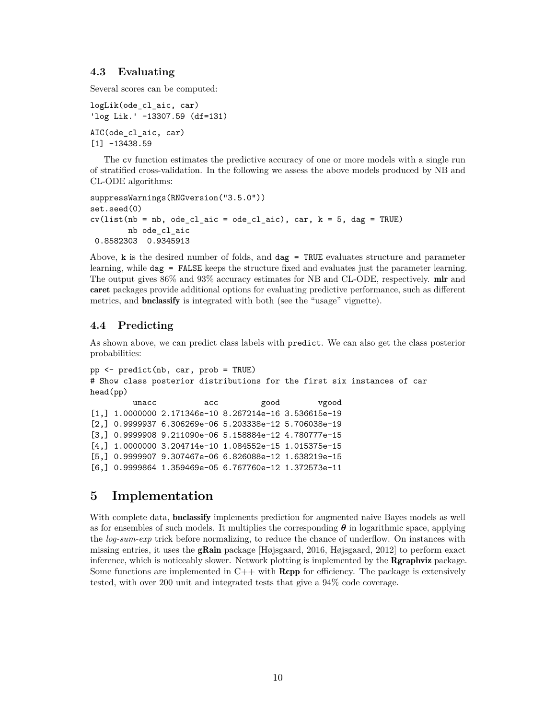### **4.3 Evaluating**

Several scores can be computed:

```
logLik(ode_cl_aic, car)
'log Lik.' -13307.59 (df=131)
AIC(ode_cl_aic, car)
[1] -13438.59
```
The cv function estimates the predictive accuracy of one or more models with a single run of stratified cross-validation. In the following we assess the above models produced by NB and CL-ODE algorithms:

```
suppressWarnings(RNGversion("3.5.0"))
set.seed(0)
cv(list(nb = nb, ode_cl_aic = ode_cl_aic), car, k = 5, dag = TRUE)nb ode_cl_aic
 0.8582303 0.9345913
```
Above,  $k$  is the desired number of folds, and  $\text{dag} = \text{TRUE}$  evaluates structure and parameter learning, while dag = FALSE keeps the structure fixed and evaluates just the parameter learning. The output gives 86% and 93% accuracy estimates for NB and CL-ODE, respectively. mlr and caret packages provide additional options for evaluating predictive performance, such as different metrics, and bnclassify is integrated with both (see the "usage" vignette).

### **4.4 Predicting**

As shown above, we can predict class labels with predict. We can also get the class posterior probabilities:

```
pp <- predict(nb, car, prob = TRUE)
# Show class posterior distributions for the first six instances of car
head(pp)
         unacc acc good vgood
[1,] 1.0000000 2.171346e-10 8.267214e-16 3.536615e-19
[2,] 0.9999937 6.306269e-06 5.203338e-12 5.706038e-19
[3,] 0.9999908 9.211090e-06 5.158884e-12 4.780777e-15
[4,] 1.0000000 3.204714e-10 1.084552e-15 1.015375e-15
[5,] 0.9999907 9.307467e-06 6.826088e-12 1.638219e-15
[6,] 0.9999864 1.359469e-05 6.767760e-12 1.372573e-11
```
### **5 Implementation**

With complete data, **bnclassify** implements prediction for augmented naive Bayes models as well as for ensembles of such models. It multiplies the corresponding *θ* in logarithmic space, applying the *log-sum-exp* trick before normalizing, to reduce the chance of underflow. On instances with missing entries, it uses the gRain package [Højsgaard, 2016, Højsgaard, 2012] to perform exact inference, which is noticeably slower. Network plotting is implemented by the Rgraphviz package. Some functions are implemented in  $C++$  with **Rcpp** for efficiency. The package is extensively tested, with over 200 unit and integrated tests that give a 94% code coverage.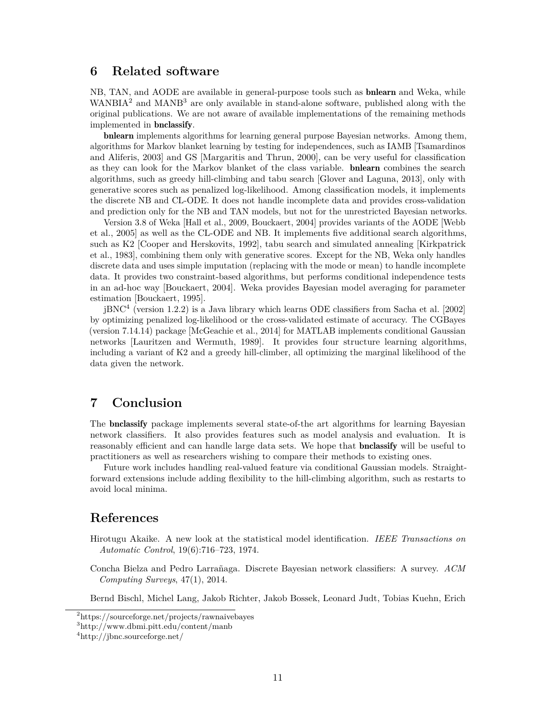# **6 Related software**

NB, TAN, and AODE are available in general-purpose tools such as bnlearn and Weka, while  $WANBIA<sup>2</sup>$  and  $MANB<sup>3</sup>$  are only available in stand-alone software, published along with the original publications. We are not aware of available implementations of the remaining methods implemented in bnclassify.

bnlearn implements algorithms for learning general purpose Bayesian networks. Among them, algorithms for Markov blanket learning by testing for independences, such as IAMB [Tsamardinos and Aliferis, 2003] and GS [Margaritis and Thrun, 2000], can be very useful for classification as they can look for the Markov blanket of the class variable. bnlearn combines the search algorithms, such as greedy hill-climbing and tabu search [Glover and Laguna, 2013], only with generative scores such as penalized log-likelihood. Among classification models, it implements the discrete NB and CL-ODE. It does not handle incomplete data and provides cross-validation and prediction only for the NB and TAN models, but not for the unrestricted Bayesian networks.

Version 3.8 of Weka [Hall et al., 2009, Bouckaert, 2004] provides variants of the AODE [Webb et al., 2005] as well as the CL-ODE and NB. It implements five additional search algorithms, such as K2 [Cooper and Herskovits, 1992], tabu search and simulated annealing [Kirkpatrick et al., 1983], combining them only with generative scores. Except for the NB, Weka only handles discrete data and uses simple imputation (replacing with the mode or mean) to handle incomplete data. It provides two constraint-based algorithms, but performs conditional independence tests in an ad-hoc way [Bouckaert, 2004]. Weka provides Bayesian model averaging for parameter estimation [Bouckaert, 1995].

jBNC<sup>4</sup> (version 1.2.2) is a Java library which learns ODE classifiers from Sacha et al. [2002] by optimizing penalized log-likelihood or the cross-validated estimate of accuracy. The CGBayes (version 7.14.14) package [McGeachie et al., 2014] for MATLAB implements conditional Gaussian networks [Lauritzen and Wermuth, 1989]. It provides four structure learning algorithms, including a variant of K2 and a greedy hill-climber, all optimizing the marginal likelihood of the data given the network.

# **7 Conclusion**

The bnclassify package implements several state-of-the art algorithms for learning Bayesian network classifiers. It also provides features such as model analysis and evaluation. It is reasonably efficient and can handle large data sets. We hope that bnclassify will be useful to practitioners as well as researchers wishing to compare their methods to existing ones.

Future work includes handling real-valued feature via conditional Gaussian models. Straightforward extensions include adding flexibility to the hill-climbing algorithm, such as restarts to avoid local minima.

### **References**

- Hirotugu Akaike. A new look at the statistical model identification. *IEEE Transactions on Automatic Control*, 19(6):716–723, 1974.
- Concha Bielza and Pedro Larrañaga. Discrete Bayesian network classifiers: A survey. *ACM Computing Surveys*, 47(1), 2014.

Bernd Bischl, Michel Lang, Jakob Richter, Jakob Bossek, Leonard Judt, Tobias Kuehn, Erich

<sup>2</sup>https://sourceforge.net/projects/rawnaivebayes

<sup>3</sup>http://www.dbmi.pitt.edu/content/manb

 $^{4}$ http://jbnc.sourceforge.net/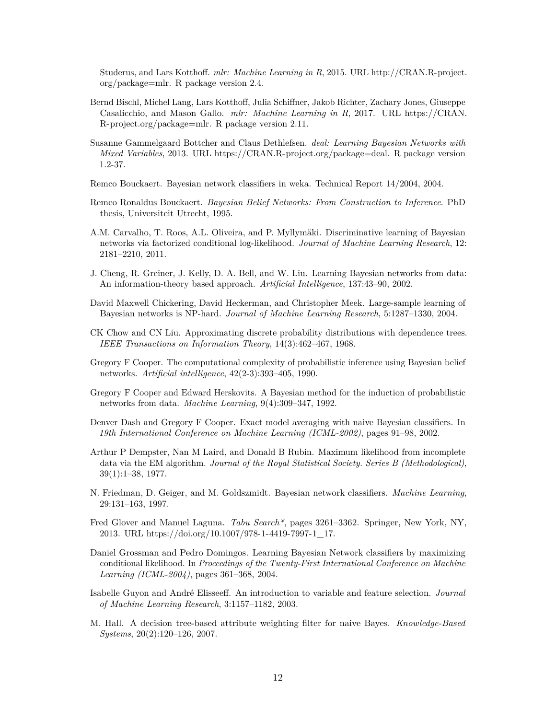Studerus, and Lars Kotthoff. *mlr: Machine Learning in R*, 2015. URL http://CRAN.R-project. org/package=mlr. R package version 2.4.

- Bernd Bischl, Michel Lang, Lars Kotthoff, Julia Schiffner, Jakob Richter, Zachary Jones, Giuseppe Casalicchio, and Mason Gallo. *mlr: Machine Learning in R*, 2017. URL https://CRAN. R-project.org/package=mlr. R package version 2.11.
- Susanne Gammelgaard Bottcher and Claus Dethlefsen. *deal: Learning Bayesian Networks with Mixed Variables*, 2013. URL https://CRAN.R-project.org/package=deal. R package version 1.2-37.
- Remco Bouckaert. Bayesian network classifiers in weka. Technical Report 14/2004, 2004.
- Remco Ronaldus Bouckaert. *Bayesian Belief Networks: From Construction to Inference*. PhD thesis, Universiteit Utrecht, 1995.
- A.M. Carvalho, T. Roos, A.L. Oliveira, and P. Myllymäki. Discriminative learning of Bayesian networks via factorized conditional log-likelihood. *Journal of Machine Learning Research*, 12: 2181–2210, 2011.
- J. Cheng, R. Greiner, J. Kelly, D. A. Bell, and W. Liu. Learning Bayesian networks from data: An information-theory based approach. *Artificial Intelligence*, 137:43–90, 2002.
- David Maxwell Chickering, David Heckerman, and Christopher Meek. Large-sample learning of Bayesian networks is NP-hard. *Journal of Machine Learning Research*, 5:1287–1330, 2004.
- CK Chow and CN Liu. Approximating discrete probability distributions with dependence trees. *IEEE Transactions on Information Theory*, 14(3):462–467, 1968.
- Gregory F Cooper. The computational complexity of probabilistic inference using Bayesian belief networks. *Artificial intelligence*, 42(2-3):393–405, 1990.
- Gregory F Cooper and Edward Herskovits. A Bayesian method for the induction of probabilistic networks from data. *Machine Learning*, 9(4):309–347, 1992.
- Denver Dash and Gregory F Cooper. Exact model averaging with naive Bayesian classifiers. In *19th International Conference on Machine Learning (ICML-2002)*, pages 91–98, 2002.
- Arthur P Dempster, Nan M Laird, and Donald B Rubin. Maximum likelihood from incomplete data via the EM algorithm. *Journal of the Royal Statistical Society. Series B (Methodological)*, 39(1):1–38, 1977.
- N. Friedman, D. Geiger, and M. Goldszmidt. Bayesian network classifiers. *Machine Learning*, 29:131–163, 1997.
- Fred Glover and Manuel Laguna. *Tabu Search\**, pages 3261–3362. Springer, New York, NY, 2013. URL https://doi.org/10.1007/978-1-4419-7997-1\_17.
- Daniel Grossman and Pedro Domingos. Learning Bayesian Network classifiers by maximizing conditional likelihood. In *Proceedings of the Twenty-First International Conference on Machine Learning (ICML-2004)*, pages 361–368, 2004.
- Isabelle Guyon and André Elisseeff. An introduction to variable and feature selection. *Journal of Machine Learning Research*, 3:1157–1182, 2003.
- M. Hall. A decision tree-based attribute weighting filter for naive Bayes. *Knowledge-Based Systems*, 20(2):120–126, 2007.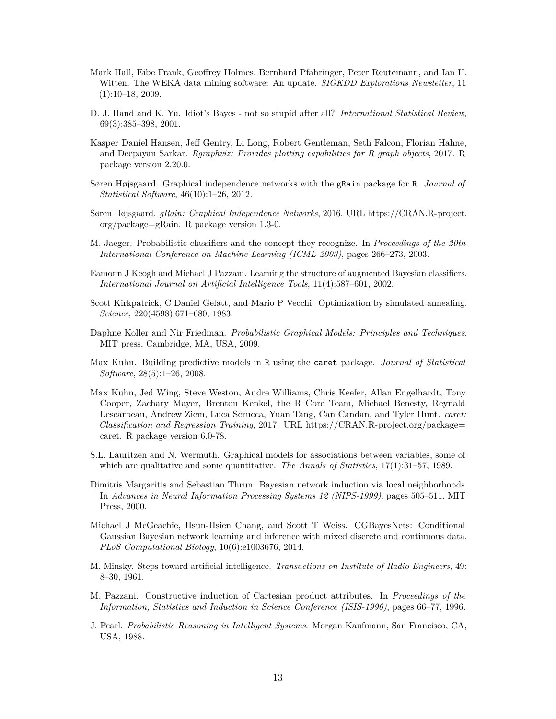- Mark Hall, Eibe Frank, Geoffrey Holmes, Bernhard Pfahringer, Peter Reutemann, and Ian H. Witten. The WEKA data mining software: An update. *SIGKDD Explorations Newsletter*, 11 (1):10–18, 2009.
- D. J. Hand and K. Yu. Idiot's Bayes not so stupid after all? *International Statistical Review*, 69(3):385–398, 2001.
- Kasper Daniel Hansen, Jeff Gentry, Li Long, Robert Gentleman, Seth Falcon, Florian Hahne, and Deepayan Sarkar. *Rgraphviz: Provides plotting capabilities for R graph objects*, 2017. R package version 2.20.0.
- Søren Højsgaard. Graphical independence networks with the gRain package for R. *Journal of Statistical Software*, 46(10):1–26, 2012.
- Søren Højsgaard. *gRain: Graphical Independence Networks*, 2016. URL https://CRAN.R-project. org/package=gRain. R package version 1.3-0.
- M. Jaeger. Probabilistic classifiers and the concept they recognize. In *Proceedings of the 20th International Conference on Machine Learning (ICML-2003)*, pages 266–273, 2003.
- Eamonn J Keogh and Michael J Pazzani. Learning the structure of augmented Bayesian classifiers. *International Journal on Artificial Intelligence Tools*, 11(4):587–601, 2002.
- Scott Kirkpatrick, C Daniel Gelatt, and Mario P Vecchi. Optimization by simulated annealing. *Science*, 220(4598):671–680, 1983.
- Daphne Koller and Nir Friedman. *Probabilistic Graphical Models: Principles and Techniques*. MIT press, Cambridge, MA, USA, 2009.
- Max Kuhn. Building predictive models in R using the caret package. *Journal of Statistical Software*, 28(5):1–26, 2008.
- Max Kuhn, Jed Wing, Steve Weston, Andre Williams, Chris Keefer, Allan Engelhardt, Tony Cooper, Zachary Mayer, Brenton Kenkel, the R Core Team, Michael Benesty, Reynald Lescarbeau, Andrew Ziem, Luca Scrucca, Yuan Tang, Can Candan, and Tyler Hunt. *caret: Classification and Regression Training*, 2017. URL https://CRAN.R-project.org/package= caret. R package version 6.0-78.
- S.L. Lauritzen and N. Wermuth. Graphical models for associations between variables, some of which are qualitative and some quantitative. *The Annals of Statistics*, 17(1):31–57, 1989.
- Dimitris Margaritis and Sebastian Thrun. Bayesian network induction via local neighborhoods. In *Advances in Neural Information Processing Systems 12 (NIPS-1999)*, pages 505–511. MIT Press, 2000.
- Michael J McGeachie, Hsun-Hsien Chang, and Scott T Weiss. CGBayesNets: Conditional Gaussian Bayesian network learning and inference with mixed discrete and continuous data. *PLoS Computational Biology*, 10(6):e1003676, 2014.
- M. Minsky. Steps toward artificial intelligence. *Transactions on Institute of Radio Engineers*, 49: 8–30, 1961.
- M. Pazzani. Constructive induction of Cartesian product attributes. In *Proceedings of the Information, Statistics and Induction in Science Conference (ISIS-1996)*, pages 66–77, 1996.
- J. Pearl. *Probabilistic Reasoning in Intelligent Systems*. Morgan Kaufmann, San Francisco, CA, USA, 1988.